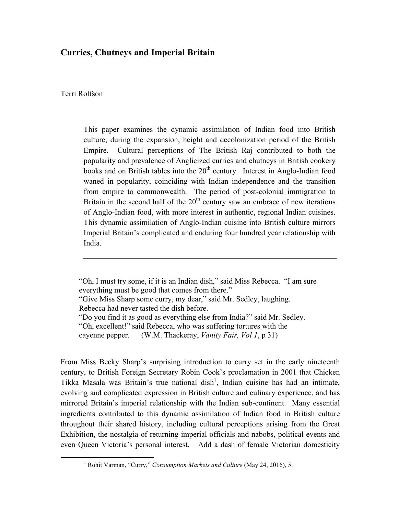## **Curries, Chutneys and Imperial Britain**

## Terri Rolfson

This paper examines the dynamic assimilation of Indian food into British culture, during the expansion, height and decolonization period of the British Empire. Cultural perceptions of The British Raj contributed to both the popularity and prevalence of Anglicized curries and chutneys in British cookery books and on British tables into the  $20<sup>th</sup>$  century. Interest in Anglo-Indian food waned in popularity, coinciding with Indian independence and the transition from empire to commonwealth. The period of post-colonial immigration to Britain in the second half of the  $20<sup>th</sup>$  century saw an embrace of new iterations of Anglo-Indian food, with more interest in authentic, regional Indian cuisines. This dynamic assimilation of Anglo-Indian cuisine into British culture mirrors Imperial Britain's complicated and enduring four hundred year relationship with India.

"Oh, I must try some, if it is an Indian dish," said Miss Rebecca. "I am sure everything must be good that comes from there." "Give Miss Sharp some curry, my dear," said Mr. Sedley, laughing. Rebecca had never tasted the dish before. "Do you find it as good as everything else from India?" said Mr. Sedley. "Oh, excellent!" said Rebecca, who was suffering tortures with the cayenne pepper. (W.M. Thackeray, *Vanity Fair, Vol 1*, p 31)

From Miss Becky Sharp's surprising introduction to curry set in the early nineteenth century, to British Foreign Secretary Robin Cook's proclamation in 2001 that Chicken Tikka Masala was Britain's true national dish<sup>1</sup>, Indian cuisine has had an intimate, evolving and complicated expression in British culture and culinary experience, and has mirrored Britain's imperial relationship with the Indian sub-continent. Many essential ingredients contributed to this dynamic assimilation of Indian food in British culture throughout their shared history, including cultural perceptions arising from the Great Exhibition, the nostalgia of returning imperial officials and nabobs, political events and even Queen Victoria's personal interest. Add a dash of female Victorian domesticity

 <sup>1</sup> Rohit Varman, "Curry," *Consumption Markets and Culture* (May 24, 2016), 5.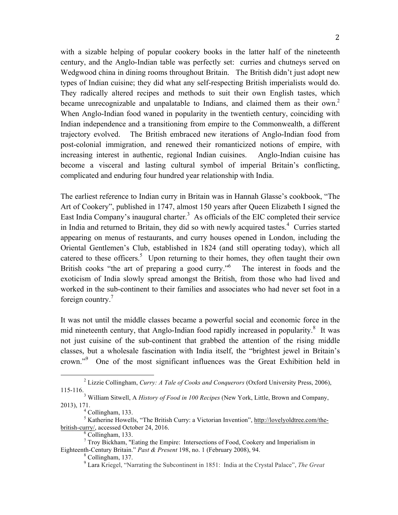with a sizable helping of popular cookery books in the latter half of the nineteenth century, and the Anglo-Indian table was perfectly set: curries and chutneys served on Wedgwood china in dining rooms throughout Britain. The British didn't just adopt new types of Indian cuisine; they did what any self-respecting British imperialists would do. They radically altered recipes and methods to suit their own English tastes, which became unrecognizable and unpalatable to Indians, and claimed them as their own.<sup>2</sup> When Anglo-Indian food waned in popularity in the twentieth century, coinciding with Indian independence and a transitioning from empire to the Commonwealth, a different trajectory evolved. The British embraced new iterations of Anglo-Indian food from post-colonial immigration, and renewed their romanticized notions of empire, with increasing interest in authentic, regional Indian cuisines. Anglo-Indian cuisine has become a visceral and lasting cultural symbol of imperial Britain's conflicting, complicated and enduring four hundred year relationship with India.

The earliest reference to Indian curry in Britain was in Hannah Glasse's cookbook, "The Art of Cookery", published in 1747, almost 150 years after Queen Elizabeth I signed the East India Company's inaugural charter.<sup>3</sup> As officials of the EIC completed their service in India and returned to Britain, they did so with newly acquired tastes.<sup>4</sup> Curries started appearing on menus of restaurants, and curry houses opened in London, including the Oriental Gentlemen's Club, established in 1824 (and still operating today), which all catered to these officers. $5$  Upon returning to their homes, they often taught their own British cooks "the art of preparing a good curry."<sup>6</sup> The interest in foods and the exoticism of India slowly spread amongst the British, from those who had lived and worked in the sub-continent to their families and associates who had never set foot in a foreign country.<sup>7</sup>

It was not until the middle classes became a powerful social and economic force in the mid nineteenth century, that Anglo-Indian food rapidly increased in popularity.<sup>8</sup> It was not just cuisine of the sub-continent that grabbed the attention of the rising middle classes, but a wholesale fascination with India itself, the "brightest jewel in Britain's crown."<sup>9</sup> One of the most significant influences was the Great Exhibition held in

 <sup>2</sup> Lizzie Collingham, *Curry: A Tale of Cooks and Conquerors* (Oxford University Press, 2006), 115-116.3 William Sitwell, A *History of Food in 100 Recipes* (New York, Little, Brown and Company,

<sup>2013), 171.&</sup>lt;br><sup>4</sup> Collingham, 133.

<sup>&</sup>lt;sup>4</sup> Collingham, 133.<br><sup>5</sup> Katherine Howells, "The British Curry: a Victorian Invention", http://lovelyoldtree.com/thebritish-curry/, accessed October 24, 2016.<br><sup>6</sup> Collingham, 133.

<sup>7</sup> Troy Bickham, "Eating the Empire: Intersections of Food, Cookery and Imperialism in Eighteenth-Century Britain." *Past & Present* 198, no. 1 (February 2008), 94.<br><sup>8</sup> Collingham, 137.

<sup>9</sup> Lara Kriegel, "Narrating the Subcontinent in 1851: India at the Crystal Palace", *The Great*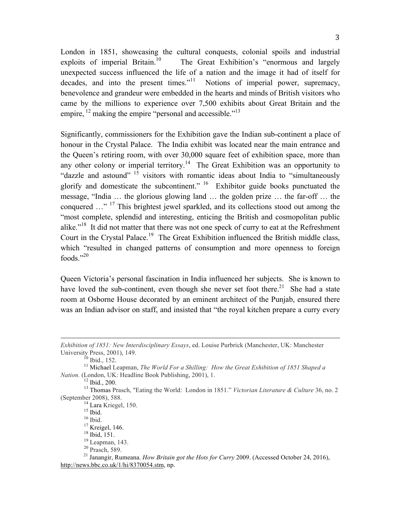London in 1851, showcasing the cultural conquests, colonial spoils and industrial exploits of imperial Britain.<sup>10</sup> The Great Exhibition's "enormous and largely unexpected success influenced the life of a nation and the image it had of itself for decades, and into the present times."<sup>11</sup> Notions of imperial power, supremacy, benevolence and grandeur were embedded in the hearts and minds of British visitors who came by the millions to experience over 7,500 exhibits about Great Britain and the empire, <sup>12</sup> making the empire "personal and accessible."<sup>13</sup>

Significantly, commissioners for the Exhibition gave the Indian sub-continent a place of honour in the Crystal Palace. The India exhibit was located near the main entrance and the Queen's retiring room, with over 30,000 square feet of exhibition space, more than any other colony or imperial territory.<sup>14</sup> The Great Exhibition was an opportunity to "dazzle and astound" <sup>15</sup> visitors with romantic ideas about India to "simultaneously glorify and domesticate the subcontinent." 16 Exhibitor guide books punctuated the message, "India … the glorious glowing land … the golden prize … the far-off … the conquered ..."<sup>17</sup> This brightest jewel sparkled, and its collections stood out among the "most complete, splendid and interesting, enticing the British and cosmopolitan public alike."18 It did not matter that there was not one speck of curry to eat at the Refreshment Court in the Crystal Palace.<sup>19</sup> The Great Exhibition influenced the British middle class, which "resulted in changed patterns of consumption and more openness to foreign foods." $^{20}$ 

Queen Victoria's personal fascination in India influenced her subjects. She is known to have loved the sub-continent, even though she never set foot there.<sup>21</sup> She had a state room at Osborne House decorated by an eminent architect of the Punjab, ensured there was an Indian advisor on staff, and insisted that "the royal kitchen prepare a curry every

<u> 1989 - Andrea Santa Andrea Andrea Andrea Andrea Andrea Andrea Andrea Andrea Andrea Andrea Andrea Andrea Andr</u>

*Exhibition of 1851: New Interdisciplinary Essays*, ed. Louise Purbrick (Manchester, UK: Manchester University Press, 2001), 149.<br><sup>10</sup> Ibid., 152.<br><sup>11</sup> Michael Leapman, *The World For a Shilling: How the Great Exhibition of 1851 Shaped a* 

*Nation.* (London, UK: Headline Book Publishing, 2001), 1.<br><sup>12</sup> Ibid., 200.

<sup>&</sup>lt;sup>13</sup> Thomas Prasch, "Eating the World: London in 1851." *Victorian Literature & Culture* 36, no. 2 (September 2008), 588.

<sup>&</sup>lt;sup>14</sup> Lara Kriegel, 150.<br>
<sup>15</sup> Ibid.<br>
<sup>15</sup> Ibid.<br>
<sup>16</sup> Ibid.<br>
<sup>18</sup> Ibid, 151.<br>
<sup>18</sup> Ibid, 151.<br>
<sup>18</sup> Leapman, 143.<br>
<sup>20</sup> Prasch, 589.<br>
<sup>21</sup> Janangir, Rumeana. *How Britain got the Hots for Curry* 2009. (Accessed October 24 http://news.bbc.co.uk/1/hi/8370054.stm, np.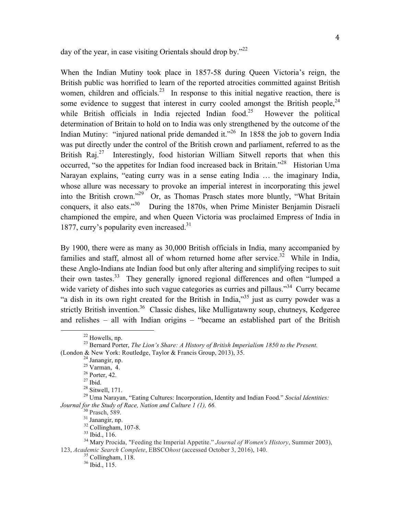day of the year, in case visiting Orientals should drop by." $^{22}$ 

When the Indian Mutiny took place in 1857-58 during Queen Victoria's reign, the British public was horrified to learn of the reported atrocities committed against British women, children and officials.<sup>23</sup> In response to this initial negative reaction, there is some evidence to suggest that interest in curry cooled amongst the British people,  $24$ while British officials in India rejected Indian food.<sup>25</sup> However the political determination of Britain to hold on to India was only strengthened by the outcome of the Indian Mutiny: "injured national pride demanded it."<sup>26</sup> In 1858 the job to govern India was put directly under the control of the British crown and parliament, referred to as the British Raj.<sup>27</sup> Interestingly, food historian William Sitwell reports that when this occurred, "so the appetites for Indian food increased back in Britain."<sup>28</sup> Historian Uma Narayan explains, "eating curry was in a sense eating India … the imaginary India, whose allure was necessary to provoke an imperial interest in incorporating this jewel into the British crown."29 Or, as Thomas Prasch states more bluntly, "What Britain conquers, it also eats."<sup>30</sup> During the 1870s, when Prime Minister Benjamin Disraeli championed the empire, and when Queen Victoria was proclaimed Empress of India in 1877, curry's popularity even increased. $31$ 

By 1900, there were as many as 30,000 British officials in India, many accompanied by families and staff, almost all of whom returned home after service.<sup>32</sup> While in India, these Anglo-Indians ate Indian food but only after altering and simplifying recipes to suit their own tastes.33 They generally ignored regional differences and often "lumped a wide variety of dishes into such vague categories as curries and pillaus."<sup>34</sup> Curry became "a dish in its own right created for the British in India,"35 just as curry powder was a strictly British invention.<sup>36</sup> Classic dishes, like Mulligatawny soup, chutneys, Kedgeree and relishes – all with Indian origins – "became an established part of the British

<sup>&</sup>lt;sup>22</sup> Howells, np.<br><sup>23</sup> Bernard Porter, *The Lion's Share: A History of British Imperialism 1850 to the Present.* 

<sup>(</sup>London & New York: Routledge, Taylor & Francis Group, 2013), 35.<br>
<sup>24</sup> Janangir, np.<br>
<sup>25</sup> Varman, 4.<br>
<sup>26</sup> Porter, 42.<br>
<sup>27</sup> Ibid.<br>
<sup>28</sup> Sitwell, 171.<br>
<sup>28</sup> Uma Narayan, "Eating Cultures: Incorporation, Identity and Ind *Journal for the Study of Race, Nation and Culture 1 (1), 66.*<br><sup>30</sup> Prasch, 589.<br><sup>31</sup> Janangir, np.<br><sup>32</sup> Collingham, 107-8.<br><sup>33</sup> Ibid., 116.<br><sup>34</sup> Mary Procida. "Feeding the Imperial Appetite." *Journal of Women's History* 

<sup>123,</sup> *Academic Search Complete*, EBSCO*host* (accessed October 3, 2016), 140. <sup>35</sup> Collingham, 118. <sup>36</sup> Ibid., 115.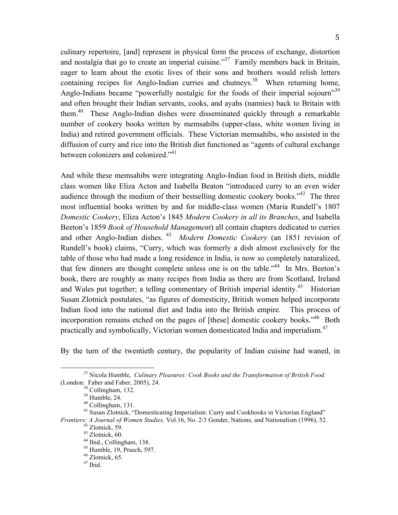culinary repertoire, [and] represent in physical form the process of exchange, distortion and nostalgia that go to create an imperial cuisine."<sup>37</sup> Family members back in Britain, eager to learn about the exotic lives of their sons and brothers would relish letters containing recipes for Anglo-Indian curries and chutneys.<sup>38</sup> When returning home, Anglo-Indians became "powerfully nostalgic for the foods of their imperial sojourn"<sup>39</sup> and often brought their Indian servants, cooks, and ayahs (nannies) back to Britain with them.<sup>40</sup> These Anglo-Indian dishes were disseminated quickly through a remarkable number of cookery books written by memsahibs (upper-class, white women living in India) and retired government officials. These Victorian memsahibs, who assisted in the diffusion of curry and rice into the British diet functioned as "agents of cultural exchange between colonizers and colonized."<sup>41</sup>

And while these memsahibs were integrating Anglo-Indian food in British diets, middle class women like Eliza Acton and Isabella Beaton "introduced curry to an even wider audience through the medium of their bestselling domestic cookery books.<sup>342</sup> The three most influential books written by and for middle-class women (Maria Rundell's 1807 *Domestic Cookery*, Eliza Acton's 1845 *Modern Cookery in all its Branches*, and Isabella Beeton's 1859 *Book of Household Management*) all contain chapters dedicated to curries and other Anglo-Indian dishes. 43 *Modern Domestic Cookery* (an 1851 revision of Rundell's book) claims, "Curry, which was formerly a dish almost exclusively for the table of those who had made a long residence in India, is now so completely naturalized, that few dinners are thought complete unless one is on the table."44 In Mrs. Beeton's book, there are roughly as many recipes from India as there are from Scotland, Ireland and Wales put together; a telling commentary of British imperial identity.<sup>45</sup> Historian Susan Zlotnick postulates, "as figures of domesticity, British women helped incorporate Indian food into the national diet and India into the British empire. This process of incorporation remains etched on the pages of [these] domestic cookery books.<sup>46</sup> Both practically and symbolically, Victorian women domesticated India and imperialism.47

By the turn of the twentieth century, the popularity of Indian cuisine had waned, in

<sup>&</sup>lt;sup>37</sup> Nicola Humble, *Culinary Pleasures: Cook Books and the Transformation of British Food.*<br>(London: Faber and Faber, 2005), 24.<br><sup>38</sup> Collingham, 132.

<sup>&</sup>lt;sup>39</sup> Humble, 24.  $\frac{40}{40}$  Collingham, 131.  $\frac{40}{41}$  Susan Zlotnick, "Domesticating Imperialism: Curry and Cookbooks in Victorian England" *Frontiers: A Journal of Women Studies,* Vol.16, No. 2/3 Gender, Nations, and Nationalism (1996), 52.<br>
<sup>42</sup> Zlotnick, 59.<br>
<sup>43</sup> Zlotnick, 60.<br>
<sup>44</sup> Ibid., Collingham, 138.<br>
<sup>45</sup> Humble, 19, Prasch, 597.<br>
<sup>46</sup> Zlotnick, 65.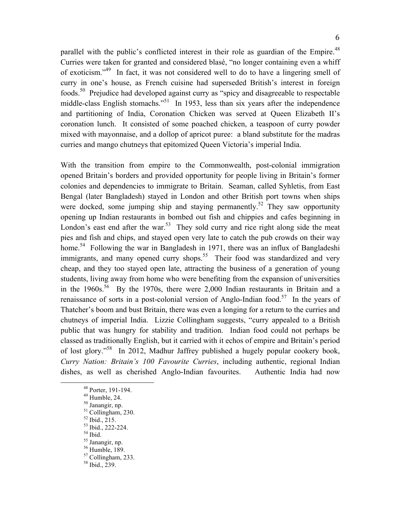parallel with the public's conflicted interest in their role as guardian of the Empire.<sup>48</sup> Curries were taken for granted and considered blasé, "no longer containing even a whiff of exoticism."49 In fact, it was not considered well to do to have a lingering smell of curry in one's house, as French cuisine had superseded British's interest in foreign foods.50 Prejudice had developed against curry as "spicy and disagreeable to respectable middle-class English stomachs."<sup>51</sup> In 1953, less than six years after the independence and partitioning of India, Coronation Chicken was served at Queen Elizabeth II's coronation lunch. It consisted of some poached chicken, a teaspoon of curry powder mixed with mayonnaise, and a dollop of apricot puree: a bland substitute for the madras curries and mango chutneys that epitomized Queen Victoria's imperial India.

With the transition from empire to the Commonwealth, post-colonial immigration opened Britain's borders and provided opportunity for people living in Britain's former colonies and dependencies to immigrate to Britain. Seaman, called Syhletis, from East Bengal (later Bangladesh) stayed in London and other British port towns when ships were docked, some jumping ship and staying permanently.<sup>52</sup> They saw opportunity opening up Indian restaurants in bombed out fish and chippies and cafes beginning in London's east end after the war. $53$  They sold curry and rice right along side the meat pies and fish and chips, and stayed open very late to catch the pub crowds on their way home.<sup>54</sup> Following the war in Bangladesh in 1971, there was an influx of Bangladeshi immigrants, and many opened curry shops.<sup>55</sup> Their food was standardized and very cheap, and they too stayed open late, attracting the business of a generation of young students, living away from home who were benefiting from the expansion of universities in the  $1960s^{56}$  By the 1970s, there were 2,000 Indian restaurants in Britain and a renaissance of sorts in a post-colonial version of Anglo-Indian food.<sup>57</sup> In the years of Thatcher's boom and bust Britain, there was even a longing for a return to the curries and chutneys of imperial India. Lizzie Collingham suggests, "curry appealed to a British public that was hungry for stability and tradition. Indian food could not perhaps be classed as traditionally English, but it carried with it echos of empire and Britain's period of lost glory."58 In 2012, Madhur Jaffrey published a hugely popular cookery book, *Curry Nation: Britain's 100 Favourite Curries*, including authentic, regional Indian dishes, as well as cherished Anglo-Indian favourites. Authentic India had now

- 
- 
- 
- 
- 
- <sup>48</sup> Porter, 191-194.<br>
<sup>49</sup> Humble, 24.<br>
<sup>50</sup> Janangir, np.<br>
<sup>51</sup> Collingham, 230.<br>
<sup>52</sup> Ibid., 215.<br>
<sup>53</sup> Ibid., 222-224.<br>
<sup>54</sup> Ibid.<br>
<sup>55</sup> Janangir, np.<br>
<sup>56</sup> Humble, 189.<br>
<sup>57</sup> Collingham, 233.<br>
<sup>58</sup> Ibid., 239.
	-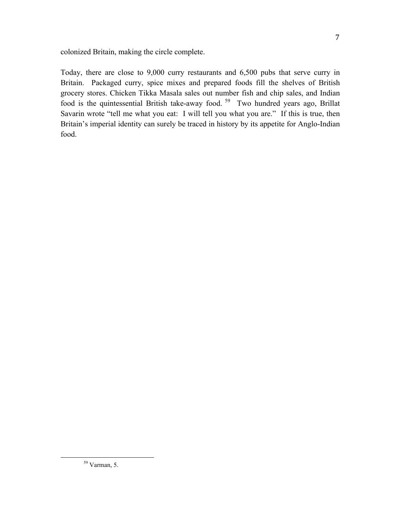colonized Britain, making the circle complete.

Today, there are close to 9,000 curry restaurants and 6,500 pubs that serve curry in Britain. Packaged curry, spice mixes and prepared foods fill the shelves of British grocery stores. Chicken Tikka Masala sales out number fish and chip sales, and Indian food is the quintessential British take-away food.<sup>59</sup> Two hundred years ago, Brillat Savarin wrote "tell me what you eat: I will tell you what you are." If this is true, then Britain's imperial identity can surely be traced in history by its appetite for Anglo-Indian food.

 $59$  Varman, 5.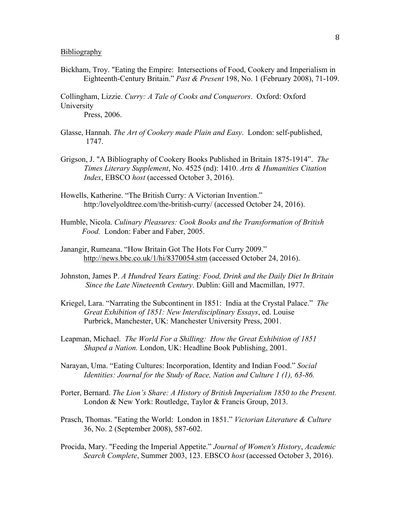## Bibliography

Bickham, Troy. "Eating the Empire: Intersections of Food, Cookery and Imperialism in Eighteenth-Century Britain." *Past & Present* 198, No. 1 (February 2008), 71-109.

Collingham, Lizzie. *Curry: A Tale of Cooks and Conquerors*. Oxford: Oxford University

Press, 2006.

- Glasse, Hannah. *The Art of Cookery made Plain and Easy*. London: self-published, 1747.
- Grigson, J. "A Bibliography of Cookery Books Published in Britain 1875-1914". *The Times Literary Supplement*, No. 4525 (nd): 1410. *Arts & Humanities Citation Index*, EBSCO *host* (accessed October 3, 2016).
- Howells, Katherine. "The British Curry: A Victorian Invention." http:/lovelyoldtree.com/the-british-curry/ (accessed October 24, 2016).
- Humble, Nicola. *Culinary Pleasures: Cook Books and the Transformation of British Food.* London: Faber and Faber, 2005.
- Janangir, Rumeana. "How Britain Got The Hots For Curry 2009." http://news.bbc.co.uk/1/hi/8370054.stm (accessed October 24, 2016).
- Johnston, James P. *A Hundred Years Eating: Food, Drink and the Daily Diet In Britain Since the Late Nineteenth Century*. Dublin: Gill and Macmillan, 1977.
- Kriegel, Lara. "Narrating the Subcontinent in 1851: India at the Crystal Palace." *The Great Exhibition of 1851: New Interdisciplinary Essays*, ed. Louise Purbrick, Manchester, UK: Manchester University Press, 2001.
- Leapman, Michael. *The World For a Shilling: How the Great Exhibition of 1851 Shaped a Nation.* London, UK: Headline Book Publishing, 2001.
- Narayan, Uma. "Eating Cultures: Incorporation, Identity and Indian Food." *Social Identities: Journal for the Study of Race, Nation and Culture 1 (1), 63-86.*
- Porter, Bernard. *The Lion's Share: A History of British Imperialism 1850 to the Present.* London & New York: Routledge, Taylor & Francis Group, 2013.
- Prasch, Thomas. "Eating the World: London in 1851." *Victorian Literature & Culture* 36, No. 2 (September 2008), 587-602.
- Procida, Mary. "Feeding the Imperial Appetite." *Journal of Women's History*, *Academic Search Complete*, Summer 2003, 123. EBSCO *host* (accessed October 3, 2016).